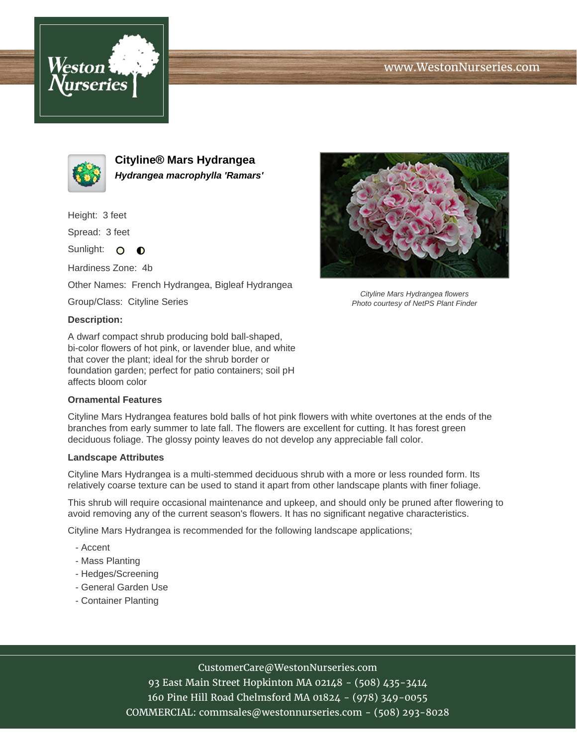





**Cityline® Mars Hydrangea Hydrangea macrophylla 'Ramars'**

Height: 3 feet

Spread: 3 feet

Sunlight: O  $\bullet$ 

Hardiness Zone: 4b

Other Names: French Hydrangea, Bigleaf Hydrangea

Group/Class: Cityline Series

## **Description:**

A dwarf compact shrub producing bold ball-shaped, bi-color flowers of hot pink, or lavender blue, and white that cover the plant; ideal for the shrub border or foundation garden; perfect for patio containers; soil pH affects bloom color

## **Ornamental Features**

Cityline Mars Hydrangea features bold balls of hot pink flowers with white overtones at the ends of the branches from early summer to late fall. The flowers are excellent for cutting. It has forest green deciduous foliage. The glossy pointy leaves do not develop any appreciable fall color.

## **Landscape Attributes**

Cityline Mars Hydrangea is a multi-stemmed deciduous shrub with a more or less rounded form. Its relatively coarse texture can be used to stand it apart from other landscape plants with finer foliage.

This shrub will require occasional maintenance and upkeep, and should only be pruned after flowering to avoid removing any of the current season's flowers. It has no significant negative characteristics.

Cityline Mars Hydrangea is recommended for the following landscape applications;

- Accent
- Mass Planting
- Hedges/Screening
- General Garden Use
- Container Planting



93 East Main Street Hopkinton MA 02148 - (508) 435-3414 160 Pine Hill Road Chelmsford MA 01824 - (978) 349-0055 COMMERCIAL: commsales@westonnurseries.com - (508) 293-8028



Cityline Mars Hydrangea flowers Photo courtesy of NetPS Plant Finder